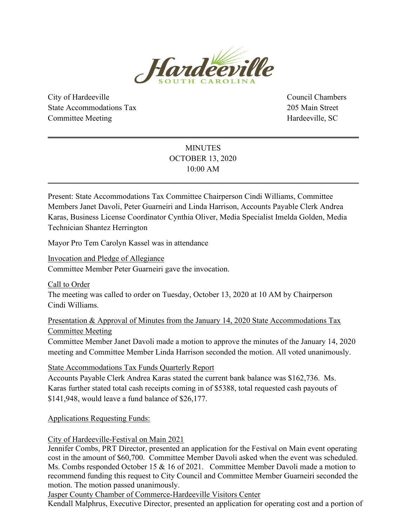

City of Hardeeville Council Chambers State Accommodations Tax 205 Main Street Committee Meeting **Hardeeville**, SC

# MINUTES OCTOBER 13, 2020 10:00 AM

Present: State Accommodations Tax Committee Chairperson Cindi Williams, Committee Members Janet Davoli, Peter Guarneiri and Linda Harrison, Accounts Payable Clerk Andrea Karas, Business License Coordinator Cynthia Oliver, Media Specialist Imelda Golden, Media Technician Shantez Herrington

Mayor Pro Tem Carolyn Kassel was in attendance

Invocation and Pledge of Allegiance Committee Member Peter Guarneiri gave the invocation.

Call to Order

The meeting was called to order on Tuesday, October 13, 2020 at 10 AM by Chairperson Cindi Williams.

Presentation & Approval of Minutes from the January 14, 2020 State Accommodations Tax Committee Meeting

Committee Member Janet Davoli made a motion to approve the minutes of the January 14, 2020 meeting and Committee Member Linda Harrison seconded the motion. All voted unanimously.

State Accommodations Tax Funds Quarterly Report

Accounts Payable Clerk Andrea Karas stated the current bank balance was \$162,736. Ms. Karas further stated total cash receipts coming in of \$5388, total requested cash payouts of \$141,948, would leave a fund balance of \$26,177.

Applications Requesting Funds:

City of Hardeeville-Festival on Main 2021

Jennifer Combs, PRT Director, presented an application for the Festival on Main event operating cost in the amount of \$60,700. Committee Member Davoli asked when the event was scheduled. Ms. Combs responded October 15 & 16 of 2021. Committee Member Davoli made a motion to recommend funding this request to City Council and Committee Member Guarneiri seconded the motion. The motion passed unanimously.

Jasper County Chamber of Commerce-Hardeeville Visitors Center

Kendall Malphrus, Executive Director, presented an application for operating cost and a portion of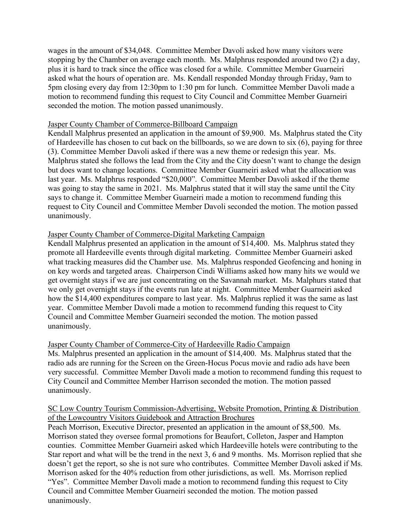wages in the amount of \$34,048. Committee Member Davoli asked how many visitors were stopping by the Chamber on average each month. Ms. Malphrus responded around two (2) a day, plus it is hard to track since the office was closed for a while. Committee Member Guarneiri asked what the hours of operation are. Ms. Kendall responded Monday through Friday, 9am to 5pm closing every day from 12:30pm to 1:30 pm for lunch. Committee Member Davoli made a motion to recommend funding this request to City Council and Committee Member Guarneiri seconded the motion. The motion passed unanimously.

### Jasper County Chamber of Commerce-Billboard Campaign

Kendall Malphrus presented an application in the amount of \$9,900. Ms. Malphrus stated the City of Hardeeville has chosen to cut back on the billboards, so we are down to six (6), paying for three (3). Committee Member Davoli asked if there was a new theme or redesign this year. Ms. Malphrus stated she follows the lead from the City and the City doesn't want to change the design but does want to change locations. Committee Member Guarneiri asked what the allocation was last year. Ms. Malphrus responded "\$20,000". Committee Member Davoli asked if the theme was going to stay the same in 2021. Ms. Malphrus stated that it will stay the same until the City says to change it. Committee Member Guarneiri made a motion to recommend funding this request to City Council and Committee Member Davoli seconded the motion. The motion passed unanimously.

# Jasper County Chamber of Commerce-Digital Marketing Campaign

Kendall Malphrus presented an application in the amount of \$14,400. Ms. Malphrus stated they promote all Hardeeville events through digital marketing. Committee Member Guarneiri asked what tracking measures did the Chamber use. Ms. Malphrus responded Geofencing and honing in on key words and targeted areas. Chairperson Cindi Williams asked how many hits we would we get overnight stays if we are just concentrating on the Savannah market. Ms. Malphurs stated that we only get overnight stays if the events run late at night. Committee Member Guarneiri asked how the \$14,400 expenditures compare to last year. Ms. Malphrus replied it was the same as last year. Committee Member Davoli made a motion to recommend funding this request to City Council and Committee Member Guarneiri seconded the motion. The motion passed unanimously.

# Jasper County Chamber of Commerce-City of Hardeeville Radio Campaign

Ms. Malphrus presented an application in the amount of \$14,400. Ms. Malphrus stated that the radio ads are running for the Screen on the Green-Hocus Pocus movie and radio ads have been very successful. Committee Member Davoli made a motion to recommend funding this request to City Council and Committee Member Harrison seconded the motion. The motion passed unanimously.

# SC Low Country Tourism Commission-Advertising, Website Promotion, Printing & Distribution of the Lowcountry Visitors Guidebook and Attraction Brochures

Peach Morrison, Executive Director, presented an application in the amount of \$8,500. Ms. Morrison stated they oversee formal promotions for Beaufort, Colleton, Jasper and Hampton counties. Committee Member Guarneiri asked which Hardeeville hotels were contributing to the Star report and what will be the trend in the next 3, 6 and 9 months. Ms. Morrison replied that she doesn't get the report, so she is not sure who contributes. Committee Member Davoli asked if Ms. Morrison asked for the 40% reduction from other jurisdictions, as well. Ms. Morrison replied "Yes". Committee Member Davoli made a motion to recommend funding this request to City Council and Committee Member Guarneiri seconded the motion. The motion passed unanimously.